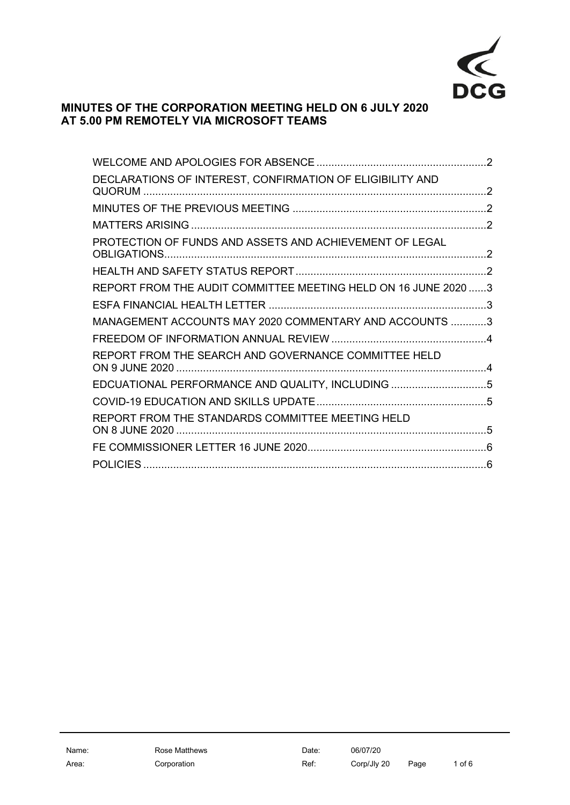

# **MINUTES OF THE CORPORATION MEETING HELD ON 6 JULY 2020 AT 5.00 PM REMOTELY VIA MICROSOFT TEAMS**

| DECLARATIONS OF INTEREST, CONFIRMATION OF ELIGIBILITY AND      |  |
|----------------------------------------------------------------|--|
|                                                                |  |
|                                                                |  |
| PROTECTION OF FUNDS AND ASSETS AND ACHIEVEMENT OF LEGAL        |  |
|                                                                |  |
| REPORT FROM THE AUDIT COMMITTEE MEETING HELD ON 16 JUNE 2020 3 |  |
|                                                                |  |
| MANAGEMENT ACCOUNTS MAY 2020 COMMENTARY AND ACCOUNTS 3         |  |
|                                                                |  |
| REPORT FROM THE SEARCH AND GOVERNANCE COMMITTEE HELD           |  |
| EDCUATIONAL PERFORMANCE AND QUALITY, INCLUDING 5               |  |
|                                                                |  |
| REPORT FROM THE STANDARDS COMMITTEE MEETING HELD               |  |
|                                                                |  |
|                                                                |  |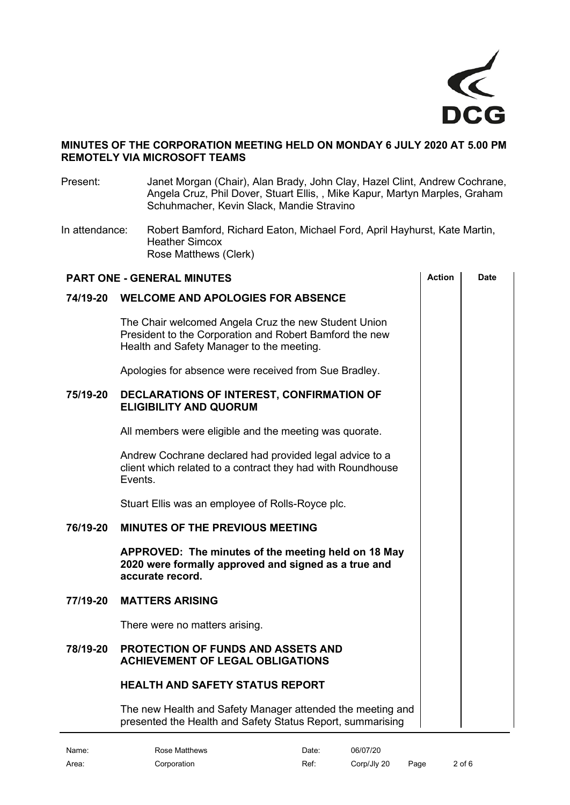

# **MINUTES OF THE CORPORATION MEETING HELD ON MONDAY 6 JULY 2020 AT 5.00 PM REMOTELY VIA MICROSOFT TEAMS**

<span id="page-1-1"></span><span id="page-1-0"></span>Present: Janet Morgan (Chair), Alan Brady, John Clay, Hazel Clint, Andrew Cochrane, Angela Cruz, Phil Dover, Stuart Ellis, , Mike Kapur, Martyn Marples, Graham Schuhmacher, Kevin Slack, Mandie Stravino In attendance: Robert Bamford, Richard Eaton, Michael Ford, April Hayhurst, Kate Martin, Heather Simcox Rose Matthews (Clerk) **PART ONE - GENERAL MINUTES**  $\qquad$  **Action**  $\qquad$  Date **74/19-20 WELCOME AND APOLOGIES FOR ABSENCE** The Chair welcomed Angela Cruz the new Student Union President to the Corporation and Robert Bamford the new Health and Safety Manager to the meeting. Apologies for absence were received from Sue Bradley. **75/19-20 DECLARATIONS OF INTEREST, CONFIRMATION OF ELIGIBILITY AND QUORUM** All members were eligible and the meeting was quorate. Andrew Cochrane declared had provided legal advice to a client which related to a contract they had with Roundhouse Events. Stuart Ellis was an employee of Rolls-Royce plc. **76/19-20 MINUTES OF THE PREVIOUS MEETING APPROVED: The minutes of the meeting held on 18 May 2020 were formally approved and signed as a true and accurate record. 77/19-20 MATTERS ARISING** There were no matters arising. **78/19-20 PROTECTION OF FUNDS AND ASSETS AND ACHIEVEMENT OF LEGAL OBLIGATIONS HEALTH AND SAFETY STATUS REPORT**

<span id="page-1-5"></span><span id="page-1-4"></span><span id="page-1-3"></span><span id="page-1-2"></span>The new Health and Safety Manager attended the meeting and presented the Health and Safety Status Report, summarising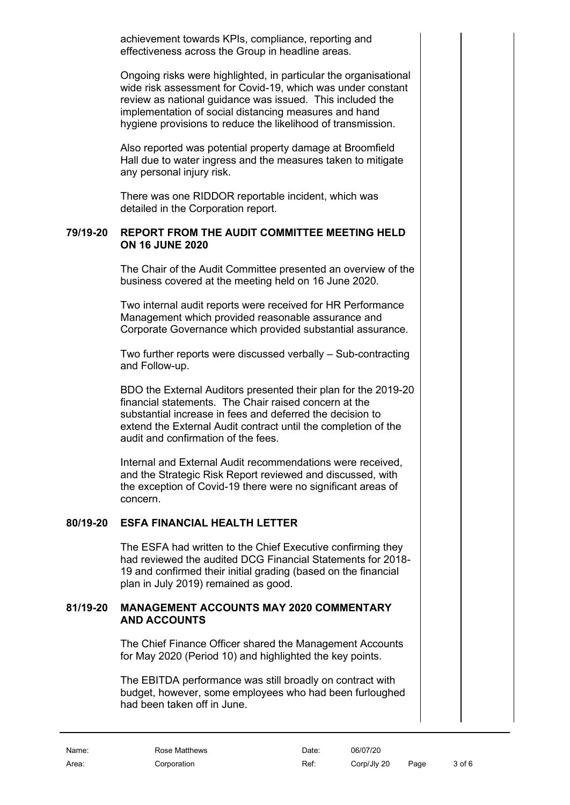achievement towards KPIs, compliance, reporting and effectiveness across the Group in headline areas.

Ongoing risks were highlighted, in particular the organisational wide risk assessment for Covid-19, which was under constant review as national guidance was issued. This included the implementation of social distancing measures and hand hygiene provisions to reduce the likelihood of transmission.

Also reported was potential property damage at Broomfield Hall due to water ingress and the measures taken to mitigate any personal injury risk.

There was one RIDDOR reportable incident, which was detailed in the Corporation report.

#### **79/19-20 REPORT FROM THE AUDIT COMMITTEE MEETING HELD ON 16 JUNE 2020**

<span id="page-2-0"></span>The Chair of the Audit Committee presented an overview of the business covered at the meeting held on 16 June 2020.

Two internal audit reports were received for HR Performance Management which provided reasonable assurance and Corporate Governance which provided substantial assurance.

Two further reports were discussed verbally – Sub-contracting and Follow-up.

BDO the External Auditors presented their plan for the 2019-20 financial statements. The Chair raised concern at the substantial increase in fees and deferred the decision to extend the External Audit contract until the completion of the audit and confirmation of the fees.

Internal and External Audit recommendations were received, and the Strategic Risk Report reviewed and discussed, with the exception of Covid-19 there were no significant areas of concern.

# **80/19-20 ESFA FINANCIAL HEALTH LETTER**

<span id="page-2-1"></span>The ESFA had written to the Chief Executive confirming they had reviewed the audited DCG Financial Statements for 2018- 19 and confirmed their initial grading (based on the financial plan in July 2019) remained as good.

# **81/19-20 MANAGEMENT ACCOUNTS MAY 2020 COMMENTARY AND ACCOUNTS**

<span id="page-2-2"></span>The Chief Finance Officer shared the Management Accounts for May 2020 (Period 10) and highlighted the key points.

The EBITDA performance was still broadly on contract with budget, however, some employees who had been furloughed had been taken off in June.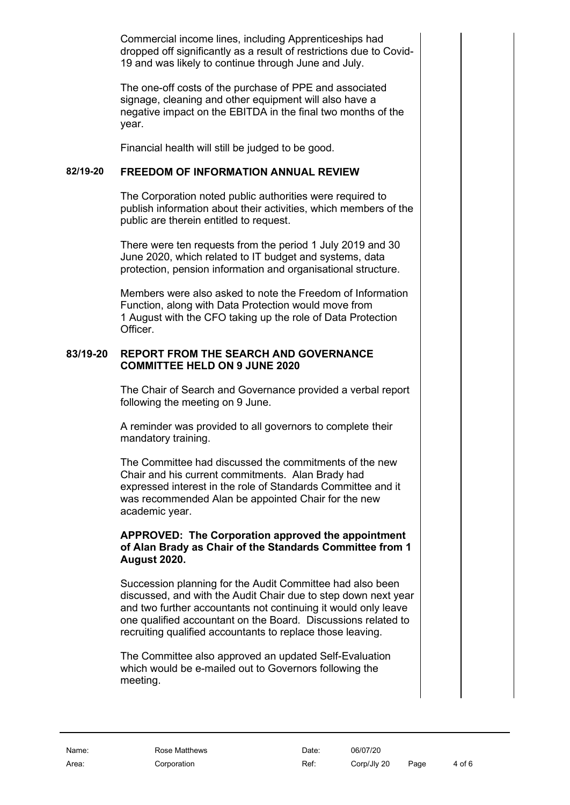Commercial income lines, including Apprenticeships had dropped off significantly as a result of restrictions due to Covid-19 and was likely to continue through June and July.

The one-off costs of the purchase of PPE and associated signage, cleaning and other equipment will also have a negative impact on the EBITDA in the final two months of the year.

<span id="page-3-0"></span>Financial health will still be judged to be good.

# **82/19-20 FREEDOM OF INFORMATION ANNUAL REVIEW**

The Corporation noted public authorities were required to publish information about their activities, which members of the public are therein entitled to request.

There were ten requests from the period 1 July 2019 and 30 June 2020, which related to IT budget and systems, data protection, pension information and organisational structure.

Members were also asked to note the Freedom of Information Function, along with Data Protection would move from 1 August with the CFO taking up the role of Data Protection Officer.

#### **83/19-20 REPORT FROM THE SEARCH AND GOVERNANCE COMMITTEE HELD ON 9 JUNE 2020**

<span id="page-3-1"></span>The Chair of Search and Governance provided a verbal report following the meeting on 9 June.

A reminder was provided to all governors to complete their mandatory training.

The Committee had discussed the commitments of the new Chair and his current commitments. Alan Brady had expressed interest in the role of Standards Committee and it was recommended Alan be appointed Chair for the new academic year.

#### **APPROVED: The Corporation approved the appointment of Alan Brady as Chair of the Standards Committee from 1 August 2020.**

Succession planning for the Audit Committee had also been discussed, and with the Audit Chair due to step down next year and two further accountants not continuing it would only leave one qualified accountant on the Board. Discussions related to recruiting qualified accountants to replace those leaving.

The Committee also approved an updated Self-Evaluation which would be e-mailed out to Governors following the meeting.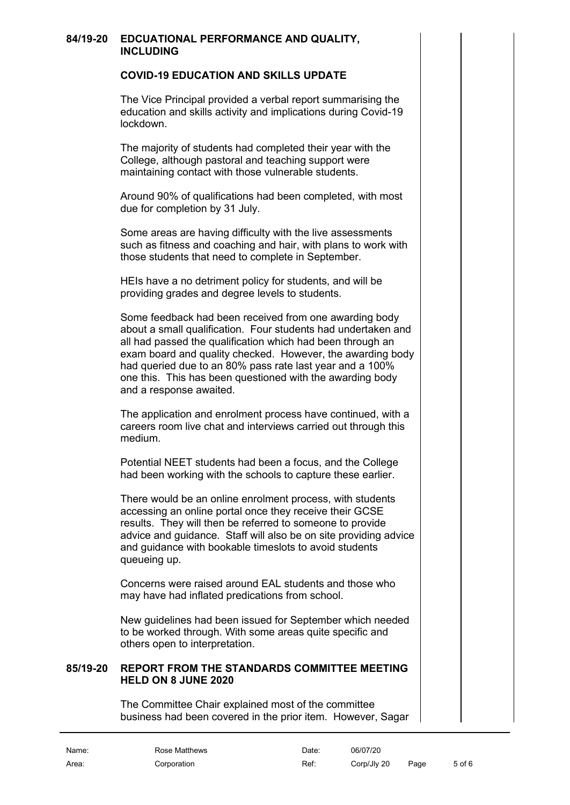#### **84/19-20 EDCUATIONAL PERFORMANCE AND QUALITY, INCLUDING**

#### <span id="page-4-1"></span><span id="page-4-0"></span>**COVID-19 EDUCATION AND SKILLS UPDATE**

The Vice Principal provided a verbal report summarising the education and skills activity and implications during Covid-19 lockdown.

The majority of students had completed their year with the College, although pastoral and teaching support were maintaining contact with those vulnerable students.

Around 90% of qualifications had been completed, with most due for completion by 31 July.

Some areas are having difficulty with the live assessments such as fitness and coaching and hair, with plans to work with those students that need to complete in September.

HEIs have a no detriment policy for students, and will be providing grades and degree levels to students.

Some feedback had been received from one awarding body about a small qualification. Four students had undertaken and all had passed the qualification which had been through an exam board and quality checked. However, the awarding body had queried due to an 80% pass rate last year and a 100% one this. This has been questioned with the awarding body and a response awaited.

The application and enrolment process have continued, with a careers room live chat and interviews carried out through this medium.

Potential NEET students had been a focus, and the College had been working with the schools to capture these earlier.

There would be an online enrolment process, with students accessing an online portal once they receive their GCSE results. They will then be referred to someone to provide advice and guidance. Staff will also be on site providing advice and guidance with bookable timeslots to avoid students queueing up.

Concerns were raised around EAL students and those who may have had inflated predications from school.

New guidelines had been issued for September which needed to be worked through. With some areas quite specific and others open to interpretation.

# **85/19-20 REPORT FROM THE STANDARDS COMMITTEE MEETING HELD ON 8 JUNE 2020**

<span id="page-4-2"></span>The Committee Chair explained most of the committee business had been covered in the prior item. However, Sagar